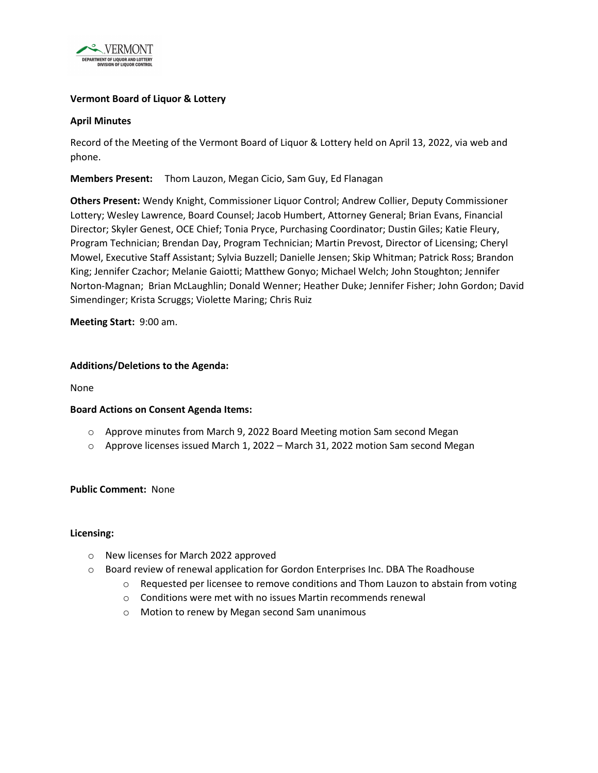

# **Vermont Board of Liquor & Lottery**

### **April Minutes**

Record of the Meeting of the Vermont Board of Liquor & Lottery held on April 13, 2022, via web and phone.

**Members Present:** Thom Lauzon, Megan Cicio, Sam Guy, Ed Flanagan

**Others Present:** Wendy Knight, Commissioner Liquor Control; Andrew Collier, Deputy Commissioner Lottery; Wesley Lawrence, Board Counsel; Jacob Humbert, Attorney General; Brian Evans, Financial Director; Skyler Genest, OCE Chief; Tonia Pryce, Purchasing Coordinator; Dustin Giles; Katie Fleury, Program Technician; Brendan Day, Program Technician; Martin Prevost, Director of Licensing; Cheryl Mowel, Executive Staff Assistant; Sylvia Buzzell; Danielle Jensen; Skip Whitman; Patrick Ross; Brandon King; Jennifer Czachor; Melanie Gaiotti; Matthew Gonyo; Michael Welch; John Stoughton; Jennifer Norton-Magnan; Brian McLaughlin; Donald Wenner; Heather Duke; Jennifer Fisher; John Gordon; David Simendinger; Krista Scruggs; Violette Maring; Chris Ruiz

**Meeting Start:** 9:00 am.

### **Additions/Deletions to the Agenda:**

None

### **Board Actions on Consent Agenda Items:**

- o Approve minutes from March 9, 2022 Board Meeting motion Sam second Megan
- $\circ$  Approve licenses issued March 1, 2022 March 31, 2022 motion Sam second Megan

### **Public Comment:** None

### **Licensing:**

- o New licenses for March 2022 approved
- $\circ$  Board review of renewal application for Gordon Enterprises Inc. DBA The Roadhouse
	- $\circ$  Requested per licensee to remove conditions and Thom Lauzon to abstain from voting
	- o Conditions were met with no issues Martin recommends renewal
	- o Motion to renew by Megan second Sam unanimous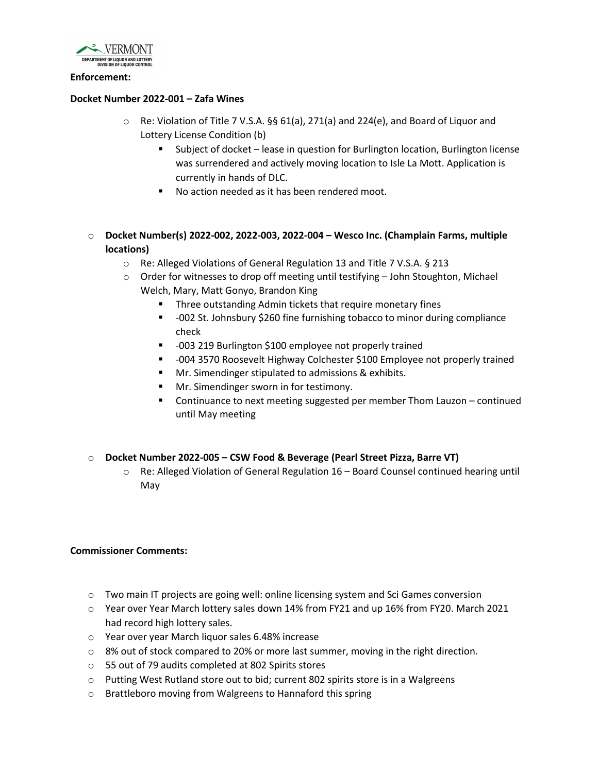

#### **Enforcement:**

### **Docket Number 2022-001 – Zafa Wines**

- o Re: Violation of Title 7 V.S.A. §§ 61(a), 271(a) and 224(e), and Board of Liquor and Lottery License Condition (b)
	- Subject of docket lease in question for Burlington location, Burlington license was surrendered and actively moving location to Isle La Mott. Application is currently in hands of DLC.
	- No action needed as it has been rendered moot.
- o **Docket Number(s) 2022-002, 2022-003, 2022-004 Wesco Inc. (Champlain Farms, multiple locations)**
	- o Re: Alleged Violations of General Regulation 13 and Title 7 V.S.A. § 213
	- $\circ$  Order for witnesses to drop off meeting until testifying  $-$  John Stoughton, Michael Welch, Mary, Matt Gonyo, Brandon King
		- **Three outstanding Admin tickets that require monetary fines**
		- -002 St. Johnsbury \$260 fine furnishing tobacco to minor during compliance check
		- -003 219 Burlington \$100 employee not properly trained
		- -004 3570 Roosevelt Highway Colchester \$100 Employee not properly trained
		- **Mr.** Simendinger stipulated to admissions & exhibits.
		- Mr. Simendinger sworn in for testimony.
		- Continuance to next meeting suggested per member Thom Lauzon continued until May meeting
- o **Docket Number 2022-005 CSW Food & Beverage (Pearl Street Pizza, Barre VT)**
	- o Re: Alleged Violation of General Regulation 16 Board Counsel continued hearing until May

# **Commissioner Comments:**

- o Two main IT projects are going well: online licensing system and Sci Games conversion
- o Year over Year March lottery sales down 14% from FY21 and up 16% from FY20. March 2021 had record high lottery sales.
- o Year over year March liquor sales 6.48% increase
- $\circ$  8% out of stock compared to 20% or more last summer, moving in the right direction.
- o 55 out of 79 audits completed at 802 Spirits stores
- $\circ$  Putting West Rutland store out to bid; current 802 spirits store is in a Walgreens
- o Brattleboro moving from Walgreens to Hannaford this spring